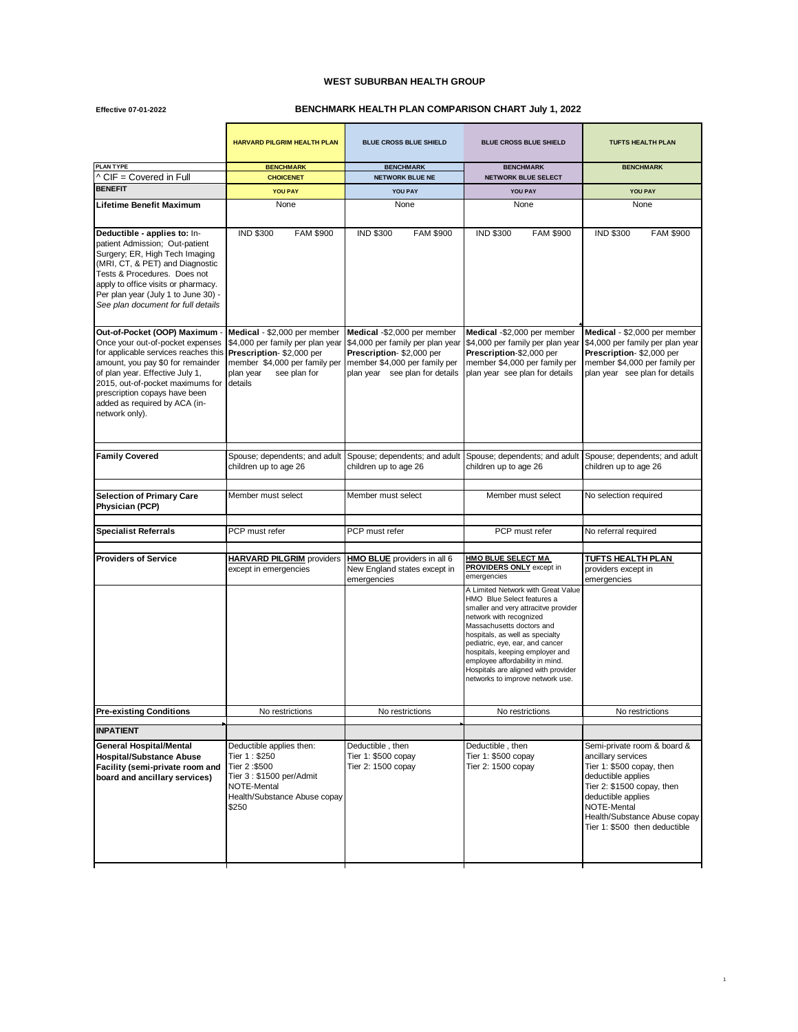## **WEST SUBURBAN HEALTH GROUP**

**Effective 07-01-2022**

## **BENCHMARK HEALTH PLAN COMPARISON CHART July 1, 2022**

|                                                                                                                                                                                                                                                                                                           | <b>HARVARD PILGRIM HEALTH PLAN</b>                                                                                                                                    | <b>BLUE CROSS BLUE SHIELD</b>                                                                                                                                  | <b>BLUE CROSS BLUE SHIELD</b>                                                                                                                                                                                                                                                                                                                                                           | <b>TUFTS HEALTH PLAN</b>                                                                                                                                                                                                                 |
|-----------------------------------------------------------------------------------------------------------------------------------------------------------------------------------------------------------------------------------------------------------------------------------------------------------|-----------------------------------------------------------------------------------------------------------------------------------------------------------------------|----------------------------------------------------------------------------------------------------------------------------------------------------------------|-----------------------------------------------------------------------------------------------------------------------------------------------------------------------------------------------------------------------------------------------------------------------------------------------------------------------------------------------------------------------------------------|------------------------------------------------------------------------------------------------------------------------------------------------------------------------------------------------------------------------------------------|
| PLAN TYPE<br>$\wedge$ CIF = Covered in Full                                                                                                                                                                                                                                                               | <b>BENCHMARK</b><br><b>CHOICENET</b>                                                                                                                                  | <b>BENCHMARK</b><br><b>NETWORK BLUE NE</b>                                                                                                                     | <b>BENCHMARK</b><br>NETWORK BLUE SELECT                                                                                                                                                                                                                                                                                                                                                 | <b>BENCHMARK</b>                                                                                                                                                                                                                         |
| <b>BENEFIT</b>                                                                                                                                                                                                                                                                                            | <b>YOU PAY</b>                                                                                                                                                        | YOU PAY                                                                                                                                                        | YOU PAY                                                                                                                                                                                                                                                                                                                                                                                 | YOU PAY                                                                                                                                                                                                                                  |
| Lifetime Benefit Maximum                                                                                                                                                                                                                                                                                  | None                                                                                                                                                                  | None                                                                                                                                                           | None                                                                                                                                                                                                                                                                                                                                                                                    | None                                                                                                                                                                                                                                     |
|                                                                                                                                                                                                                                                                                                           |                                                                                                                                                                       |                                                                                                                                                                |                                                                                                                                                                                                                                                                                                                                                                                         |                                                                                                                                                                                                                                          |
| Deductible - applies to: In-<br>patient Admission; Out-patient<br>Surgery; ER, High Tech Imaging<br>(MRI, CT, & PET) and Diagnostic<br>Tests & Procedures. Does not<br>apply to office visits or pharmacy.<br>Per plan year (July 1 to June 30) -<br>See plan document for full details                   | <b>IND \$300</b><br><b>FAM \$900</b>                                                                                                                                  | <b>IND \$300</b><br><b>FAM \$900</b>                                                                                                                           | <b>IND \$300</b><br><b>FAM \$900</b>                                                                                                                                                                                                                                                                                                                                                    | <b>IND \$300</b><br><b>FAM \$900</b>                                                                                                                                                                                                     |
| Out-of-Pocket (OOP) Maximum -<br>Once your out-of-pocket expenses<br>for applicable services reaches this<br>amount, you pay \$0 for remainder<br>of plan year. Effective July 1,<br>2015, out-of-pocket maximums for<br>prescription copays have been<br>added as required by ACA (in-<br>network only). | Medical - \$2,000 per member<br>\$4,000 per family per plan year<br>Prescription-\$2,000 per<br>member \$4,000 per family per<br>plan year<br>see plan for<br>details | Medical -\$2,000 per member<br>\$4,000 per family per plan year<br>Prescription-\$2,000 per<br>member \$4,000 per family per<br>plan year see plan for details | Medical -\$2,000 per member<br>\$4,000 per family per plan year<br>Prescription-\$2,000 per<br>member \$4,000 per family per<br>plan year see plan for details                                                                                                                                                                                                                          | Medical - \$2,000 per member<br>\$4,000 per family per plan year<br>Prescription- \$2,000 per<br>member \$4,000 per family per<br>plan year see plan for details                                                                         |
| <b>Family Covered</b>                                                                                                                                                                                                                                                                                     | Spouse; dependents; and adult<br>children up to age 26                                                                                                                | Spouse; dependents; and adult<br>children up to age 26                                                                                                         | Spouse; dependents; and adult<br>children up to age 26                                                                                                                                                                                                                                                                                                                                  | Spouse; dependents; and adult<br>children up to age 26                                                                                                                                                                                   |
| <b>Selection of Primary Care</b><br>Physician (PCP)                                                                                                                                                                                                                                                       | Member must select                                                                                                                                                    | Member must select                                                                                                                                             | Member must select                                                                                                                                                                                                                                                                                                                                                                      | No selection required                                                                                                                                                                                                                    |
| <b>Specialist Referrals</b>                                                                                                                                                                                                                                                                               | PCP must refer                                                                                                                                                        | PCP must refer                                                                                                                                                 | PCP must refer                                                                                                                                                                                                                                                                                                                                                                          | No referral required                                                                                                                                                                                                                     |
| <b>Providers of Service</b>                                                                                                                                                                                                                                                                               | <b>HARVARD PILGRIM</b> providers<br>except in emergencies                                                                                                             | HMO BLUE providers in all 6<br>New England states except in<br>emergencies                                                                                     | <u>HMO BLUE SELECT MA</u><br>PROVIDERS ONLY except in<br>emergencies                                                                                                                                                                                                                                                                                                                    | TUFTS HEALTH PLAN<br>providers except in<br>emergencies                                                                                                                                                                                  |
|                                                                                                                                                                                                                                                                                                           |                                                                                                                                                                       |                                                                                                                                                                | A Limited Network with Great Value<br>HMO Blue Select features a<br>smaller and very attracitve provider<br>network with recognized<br>Massachusetts doctors and<br>hospitals, as well as specialty<br>pediatric, eye, ear, and cancer<br>hospitals, keeping employer and<br>employee affordability in mind.<br>Hospitals are aligned with provider<br>networks to improve network use. |                                                                                                                                                                                                                                          |
| <b>Pre-existing Conditions</b>                                                                                                                                                                                                                                                                            | No restrictions                                                                                                                                                       | No restrictions                                                                                                                                                | No restrictions                                                                                                                                                                                                                                                                                                                                                                         | No restrictions                                                                                                                                                                                                                          |
| <b>INPATIENT</b>                                                                                                                                                                                                                                                                                          |                                                                                                                                                                       |                                                                                                                                                                |                                                                                                                                                                                                                                                                                                                                                                                         |                                                                                                                                                                                                                                          |
| <b>General Hospital/Mental</b><br><b>Hospital/Substance Abuse</b><br>Facility (semi-private room and<br>board and ancillary services)                                                                                                                                                                     | Deductible applies then:<br>Tier 1: \$250<br>Tier 2:\$500<br>Tier 3: \$1500 per/Admit<br>NOTE-Mental<br>Health/Substance Abuse copay<br>\$250                         | Deductible, then<br>Tier 1: \$500 copay<br>Tier 2: 1500 copay                                                                                                  | Deductible, then<br>Tier 1: \$500 copay<br>Tier 2: 1500 copay                                                                                                                                                                                                                                                                                                                           | Semi-private room & board &<br>ancillary services<br>Tier 1: \$500 copay, then<br>deductible applies<br>Tier 2: \$1500 copay, then<br>deductible applies<br>NOTE-Mental<br>Health/Substance Abuse copay<br>Tier 1: \$500 then deductible |

1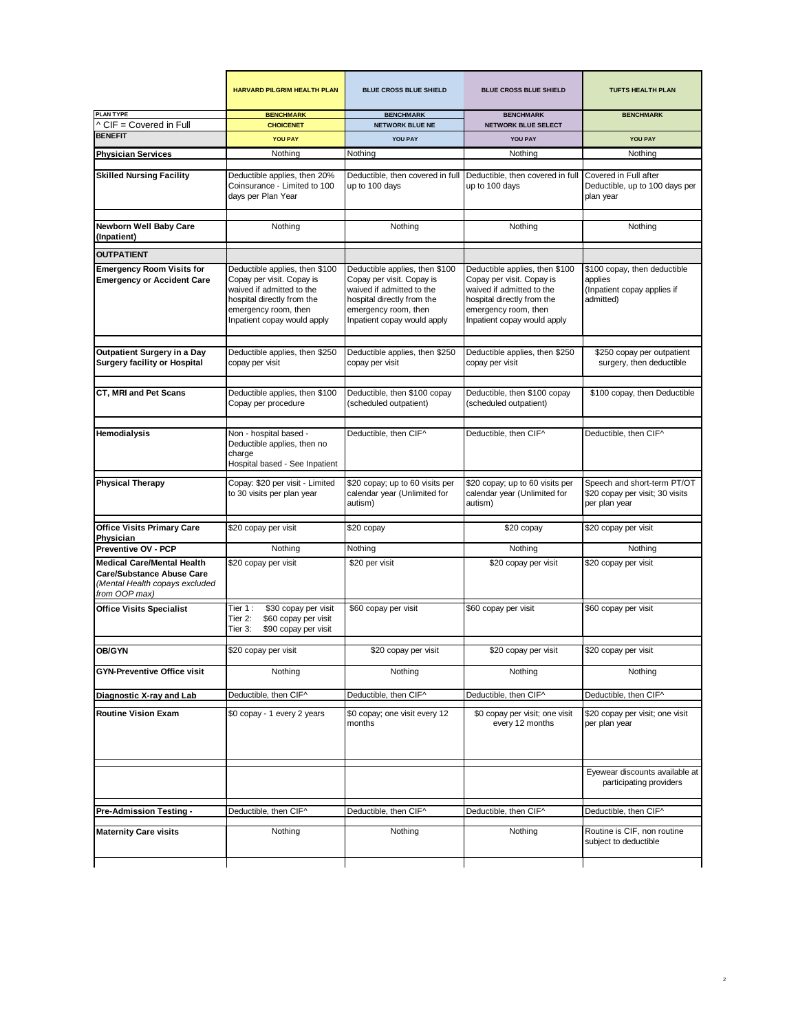|                                                                                                                          | <b>HARVARD PILGRIM HEALTH PLAN</b>                                                                                                                                            | <b>BLUE CROSS BLUE SHIELD</b>                                                                                                                                                 | <b>BLUE CROSS BLUE SHIELD</b>                                                                                                                                                 | <b>TUFTS HEALTH PLAN</b>                                                            |
|--------------------------------------------------------------------------------------------------------------------------|-------------------------------------------------------------------------------------------------------------------------------------------------------------------------------|-------------------------------------------------------------------------------------------------------------------------------------------------------------------------------|-------------------------------------------------------------------------------------------------------------------------------------------------------------------------------|-------------------------------------------------------------------------------------|
| <b>PLAN TYPE</b><br>^ CIF = Covered in Full                                                                              | <b>BENCHMARK</b><br><b>CHOICENET</b>                                                                                                                                          | <b>BENCHMARK</b><br><b>NETWORK BLUE NE</b>                                                                                                                                    | <b>BENCHMARK</b><br><b>NETWORK BLUE SELECT</b>                                                                                                                                | <b>BENCHMARK</b>                                                                    |
| <b>BENEFIT</b>                                                                                                           | <b>YOU PAY</b>                                                                                                                                                                | YOU PAY                                                                                                                                                                       | YOU PAY                                                                                                                                                                       | <b>YOU PAY</b>                                                                      |
| <b>Physician Services</b>                                                                                                | Nothing                                                                                                                                                                       | Nothing                                                                                                                                                                       | Nothing                                                                                                                                                                       | Nothing                                                                             |
| <b>Skilled Nursing Facility</b>                                                                                          | Deductible applies, then 20%<br>Coinsurance - Limited to 100<br>days per Plan Year                                                                                            | Deductible, then covered in full<br>up to 100 days                                                                                                                            | Deductible, then covered in full<br>up to 100 days                                                                                                                            | Covered in Full after<br>Deductible, up to 100 days per<br>plan year                |
| Newborn Well Baby Care<br>(Inpatient)                                                                                    | Nothing                                                                                                                                                                       | Nothing                                                                                                                                                                       | Nothing                                                                                                                                                                       | Nothing                                                                             |
| <b>OUTPATIENT</b>                                                                                                        |                                                                                                                                                                               |                                                                                                                                                                               |                                                                                                                                                                               |                                                                                     |
| <b>Emergency Room Visits for</b><br><b>Emergency or Accident Care</b>                                                    | Deductible applies, then \$100<br>Copay per visit. Copay is<br>waived if admitted to the<br>hospital directly from the<br>emergency room, then<br>Inpatient copay would apply | Deductible applies, then \$100<br>Copay per visit. Copay is<br>waived if admitted to the<br>hospital directly from the<br>emergency room, then<br>Inpatient copay would apply | Deductible applies, then \$100<br>Copay per visit. Copay is<br>waived if admitted to the<br>hospital directly from the<br>emergency room, then<br>Inpatient copay would apply | \$100 copay, then deductible<br>applies<br>(Inpatient copay applies if<br>admitted) |
| Outpatient Surgery in a Day<br><b>Surgery facility or Hospital</b>                                                       | Deductible applies, then \$250<br>copay per visit                                                                                                                             | Deductible applies, then \$250<br>copay per visit                                                                                                                             | Deductible applies, then \$250<br>copay per visit                                                                                                                             | \$250 copay per outpatient<br>surgery, then deductible                              |
| CT, MRI and Pet Scans                                                                                                    | Deductible applies, then \$100<br>Copay per procedure                                                                                                                         | Deductible, then \$100 copay<br>(scheduled outpatient)                                                                                                                        | Deductible, then \$100 copay<br>(scheduled outpatient)                                                                                                                        | \$100 copay, then Deductible                                                        |
| Hemodialysis                                                                                                             | Non - hospital based -<br>Deductible applies, then no<br>charge<br>Hospital based - See Inpatient                                                                             | Deductible, then CIF^                                                                                                                                                         | Deductible, then CIF^                                                                                                                                                         | Deductible, then CIF^                                                               |
| <b>Physical Therapy</b>                                                                                                  | Copay: \$20 per visit - Limited<br>to 30 visits per plan year                                                                                                                 | \$20 copay; up to 60 visits per<br>calendar year (Unlimited for<br>autism)                                                                                                    | \$20 copay; up to 60 visits per<br>calendar year (Unlimited for<br>autism)                                                                                                    | Speech and short-term PT/OT<br>\$20 copay per visit; 30 visits<br>per plan year     |
| <b>Office Visits Primary Care</b>                                                                                        | \$20 copay per visit                                                                                                                                                          | \$20 copay                                                                                                                                                                    | \$20 copay                                                                                                                                                                    | \$20 copay per visit                                                                |
| Physician<br>Preventive OV - PCP                                                                                         | Nothing                                                                                                                                                                       | Nothing                                                                                                                                                                       | Nothing                                                                                                                                                                       | Nothing                                                                             |
| <b>Medical Care/Mental Health</b><br><b>Care/Substance Abuse Care</b><br>(Mental Health copays excluded<br>from OOP max) | \$20 copay per visit                                                                                                                                                          | \$20 per visit                                                                                                                                                                | \$20 copay per visit                                                                                                                                                          | \$20 copay per visit                                                                |
| <b>Office Visits Specialist</b>                                                                                          | Tier 1:<br>\$30 copay per visit<br>\$60 copay per visit<br>Tier 2:<br>\$90 copay per visit<br>Tier 3:                                                                         | \$60 copay per visit                                                                                                                                                          | \$60 copay per visit                                                                                                                                                          | \$60 copay per visit                                                                |
| OB/GYN                                                                                                                   | \$20 copay per visit                                                                                                                                                          | \$20 copay per visit                                                                                                                                                          | \$20 copay per visit                                                                                                                                                          | \$20 copay per visit                                                                |
| <b>GYN-Preventive Office visit</b>                                                                                       | Nothing                                                                                                                                                                       | Nothing                                                                                                                                                                       | Nothing                                                                                                                                                                       | Nothing                                                                             |
| Diagnostic X-ray and Lab                                                                                                 | Deductible, then CIF^                                                                                                                                                         | Deductible, then CIF^                                                                                                                                                         | Deductible, then CIF^                                                                                                                                                         | Deductible, then CIF^                                                               |
| <b>Routine Vision Exam</b>                                                                                               | \$0 copay - 1 every 2 years                                                                                                                                                   | \$0 copay; one visit every 12<br>months                                                                                                                                       | \$0 copay per visit; one visit<br>every 12 months                                                                                                                             | \$20 copay per visit; one visit<br>per plan year                                    |
|                                                                                                                          |                                                                                                                                                                               |                                                                                                                                                                               |                                                                                                                                                                               | Eyewear discounts available at<br>participating providers                           |
| Pre-Admission Testing -                                                                                                  | Deductible, then CIF^                                                                                                                                                         | Deductible, then CIF^                                                                                                                                                         | Deductible, then CIF^                                                                                                                                                         | Deductible, then CIF^                                                               |
| <b>Maternity Care visits</b>                                                                                             | Nothing                                                                                                                                                                       | Nothing                                                                                                                                                                       | Nothing                                                                                                                                                                       | Routine is CIF, non routine<br>subject to deductible                                |
|                                                                                                                          |                                                                                                                                                                               |                                                                                                                                                                               |                                                                                                                                                                               |                                                                                     |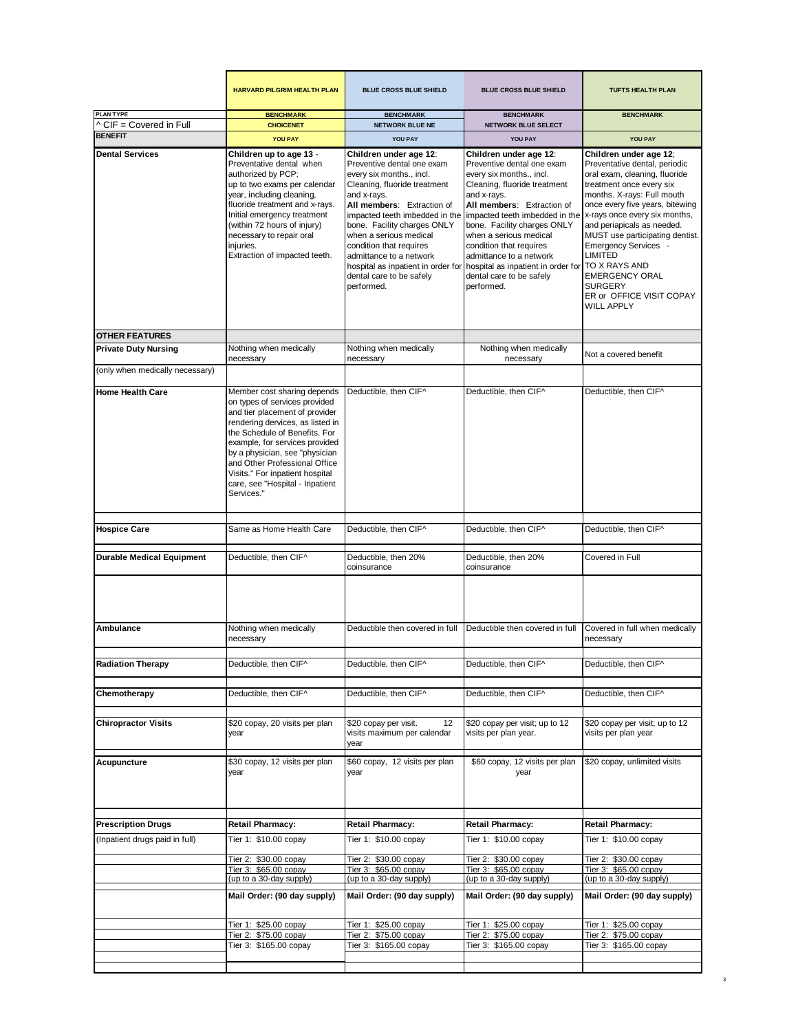|                                             | <b>HARVARD PILGRIM HEALTH PLAN</b>                                                                                                                                                                                                                                                                                                                           | <b>BLUE CROSS BLUE SHIELD</b>                                                                                                                                                                                                                                                                                                                                                                  | <b>BLUE CROSS BLUE SHIELD</b>                                                                                                                                                                                                                                                                                                                                                                  | <b>TUFTS HEALTH PLAN</b>                                                                                                                                                                                                                                                                                                                                                                                                                |
|---------------------------------------------|--------------------------------------------------------------------------------------------------------------------------------------------------------------------------------------------------------------------------------------------------------------------------------------------------------------------------------------------------------------|------------------------------------------------------------------------------------------------------------------------------------------------------------------------------------------------------------------------------------------------------------------------------------------------------------------------------------------------------------------------------------------------|------------------------------------------------------------------------------------------------------------------------------------------------------------------------------------------------------------------------------------------------------------------------------------------------------------------------------------------------------------------------------------------------|-----------------------------------------------------------------------------------------------------------------------------------------------------------------------------------------------------------------------------------------------------------------------------------------------------------------------------------------------------------------------------------------------------------------------------------------|
| <b>PLAN TYPE</b><br>^ CIF = Covered in Full | <b>BENCHMARK</b><br><b>CHOICENET</b>                                                                                                                                                                                                                                                                                                                         | <b>BENCHMARK</b><br><b>NETWORK BLUE NE</b>                                                                                                                                                                                                                                                                                                                                                     | <b>BENCHMARK</b>                                                                                                                                                                                                                                                                                                                                                                               | <b>BENCHMARK</b>                                                                                                                                                                                                                                                                                                                                                                                                                        |
| <b>BENEFIT</b>                              | <b>YOU PAY</b>                                                                                                                                                                                                                                                                                                                                               | YOU PAY                                                                                                                                                                                                                                                                                                                                                                                        | <b>NETWORK BLUE SELECT</b><br>YOU PAY                                                                                                                                                                                                                                                                                                                                                          | YOU PAY                                                                                                                                                                                                                                                                                                                                                                                                                                 |
|                                             |                                                                                                                                                                                                                                                                                                                                                              |                                                                                                                                                                                                                                                                                                                                                                                                |                                                                                                                                                                                                                                                                                                                                                                                                |                                                                                                                                                                                                                                                                                                                                                                                                                                         |
| <b>Dental Services</b>                      | Children up to age 13 -<br>Preventative dental when<br>authorized by PCP;<br>up to two exams per calendar<br>year, including cleaning,<br>fluoride treatment and x-rays.<br>Initial emergency treatment<br>(within 72 hours of injury)<br>necessary to repair oral<br>injuries.<br>Extraction of impacted teeth.                                             | Children under age 12:<br>Preventive dental one exam<br>every six months., incl.<br>Cleaning, fluoride treatment<br>and x-rays.<br>All members: Extraction of<br>impacted teeth imbedded in the<br>bone. Facility charges ONLY<br>when a serious medical<br>condition that requires<br>admittance to a network<br>hospital as inpatient in order for<br>dental care to be safely<br>performed. | Children under age 12:<br>Preventive dental one exam<br>every six months., incl.<br>Cleaning, fluoride treatment<br>and x-rays.<br>All members: Extraction of<br>impacted teeth imbedded in the<br>bone. Facility charges ONLY<br>when a serious medical<br>condition that requires<br>admittance to a network<br>hospital as inpatient in order for<br>dental care to be safely<br>performed. | Children under age 12;<br>Preventative dental, periodic<br>oral exam, cleaning, fluoride<br>treatment once every six<br>months. X-rays: Full mouth<br>once every five years, bitewing<br>x-rays once every six months,<br>and periapicals as needed.<br>MUST use participating dentist.<br>Emergency Services -<br>LIMITED<br>TO X RAYS AND<br><b>EMERGENCY ORAL</b><br><b>SURGERY</b><br>ER or OFFICE VISIT COPAY<br><b>WILL APPLY</b> |
| <b>OTHER FEATURES</b>                       |                                                                                                                                                                                                                                                                                                                                                              |                                                                                                                                                                                                                                                                                                                                                                                                |                                                                                                                                                                                                                                                                                                                                                                                                |                                                                                                                                                                                                                                                                                                                                                                                                                                         |
| <b>Private Duty Nursing</b>                 | Nothing when medically<br>necessary                                                                                                                                                                                                                                                                                                                          | Nothing when medically<br>necessary                                                                                                                                                                                                                                                                                                                                                            | Nothing when medically<br>necessary                                                                                                                                                                                                                                                                                                                                                            | Not a covered benefit                                                                                                                                                                                                                                                                                                                                                                                                                   |
| (only when medically necessary)             |                                                                                                                                                                                                                                                                                                                                                              |                                                                                                                                                                                                                                                                                                                                                                                                |                                                                                                                                                                                                                                                                                                                                                                                                |                                                                                                                                                                                                                                                                                                                                                                                                                                         |
| <b>Home Health Care</b>                     | Member cost sharing depends<br>on types of services provided<br>and tier placement of provider<br>rendering dervices, as listed in<br>the Schedule of Benefits. For<br>example, for services provided<br>by a physician, see "physician<br>and Other Professional Office<br>Visits." For inpatient hospital<br>care, see "Hospital - Inpatient<br>Services." | Deductible, then CIF^                                                                                                                                                                                                                                                                                                                                                                          | Deductible, then CIF^                                                                                                                                                                                                                                                                                                                                                                          | Deductible, then CIF^                                                                                                                                                                                                                                                                                                                                                                                                                   |
| <b>Hospice Care</b>                         | Same as Home Health Care                                                                                                                                                                                                                                                                                                                                     | Deductible, then CIF^                                                                                                                                                                                                                                                                                                                                                                          | Deductible, then CIF^                                                                                                                                                                                                                                                                                                                                                                          | Deductible, then CIF^                                                                                                                                                                                                                                                                                                                                                                                                                   |
| <b>Durable Medical Equipment</b>            | Deductible, then CIF^                                                                                                                                                                                                                                                                                                                                        | Deductible, then 20%<br>coinsurance                                                                                                                                                                                                                                                                                                                                                            | Deductible, then 20%<br>coinsurance                                                                                                                                                                                                                                                                                                                                                            | Covered in Full                                                                                                                                                                                                                                                                                                                                                                                                                         |
| Ambulance                                   | Nothing when medically                                                                                                                                                                                                                                                                                                                                       | Deductible then covered in full                                                                                                                                                                                                                                                                                                                                                                | Deductible then covered in full                                                                                                                                                                                                                                                                                                                                                                | Covered in full when medically                                                                                                                                                                                                                                                                                                                                                                                                          |
|                                             | necessary                                                                                                                                                                                                                                                                                                                                                    |                                                                                                                                                                                                                                                                                                                                                                                                |                                                                                                                                                                                                                                                                                                                                                                                                | necessary                                                                                                                                                                                                                                                                                                                                                                                                                               |
| <b>Radiation Therapy</b>                    | Deductible, then CIF^                                                                                                                                                                                                                                                                                                                                        | Deductible, then CIF^                                                                                                                                                                                                                                                                                                                                                                          | Deductible, then CIF^                                                                                                                                                                                                                                                                                                                                                                          | Deductible, then CIF^                                                                                                                                                                                                                                                                                                                                                                                                                   |
| Chemotherapy                                | Deductible, then CIF^                                                                                                                                                                                                                                                                                                                                        | Deductible, then CIF^                                                                                                                                                                                                                                                                                                                                                                          | Deductible, then CIF^                                                                                                                                                                                                                                                                                                                                                                          | Deductible, then CIF^                                                                                                                                                                                                                                                                                                                                                                                                                   |
|                                             |                                                                                                                                                                                                                                                                                                                                                              |                                                                                                                                                                                                                                                                                                                                                                                                |                                                                                                                                                                                                                                                                                                                                                                                                |                                                                                                                                                                                                                                                                                                                                                                                                                                         |
| <b>Chiropractor Visits</b>                  | \$20 copay, 20 visits per plan<br>year                                                                                                                                                                                                                                                                                                                       | \$20 copay per visit.<br>12<br>visits maximum per calendar<br>year                                                                                                                                                                                                                                                                                                                             | \$20 copay per visit; up to 12<br>visits per plan year.                                                                                                                                                                                                                                                                                                                                        | \$20 copay per visit; up to 12<br>visits per plan year                                                                                                                                                                                                                                                                                                                                                                                  |
| Acupuncture                                 | \$30 copay, 12 visits per plan<br>year                                                                                                                                                                                                                                                                                                                       | \$60 copay, 12 visits per plan<br>year                                                                                                                                                                                                                                                                                                                                                         | \$60 copay, 12 visits per plan<br>year                                                                                                                                                                                                                                                                                                                                                         | \$20 copay, unlimited visits                                                                                                                                                                                                                                                                                                                                                                                                            |
| <b>Prescription Drugs</b>                   | <b>Retail Pharmacy:</b>                                                                                                                                                                                                                                                                                                                                      | Retail Pharmacy:                                                                                                                                                                                                                                                                                                                                                                               | Retail Pharmacy:                                                                                                                                                                                                                                                                                                                                                                               | <b>Retail Pharmacy:</b>                                                                                                                                                                                                                                                                                                                                                                                                                 |
| (Inpatient drugs paid in full)              | Tier 1: \$10.00 copay                                                                                                                                                                                                                                                                                                                                        | Tier 1: \$10.00 copay                                                                                                                                                                                                                                                                                                                                                                          | Tier 1: \$10.00 copay                                                                                                                                                                                                                                                                                                                                                                          | Tier 1: \$10.00 copay                                                                                                                                                                                                                                                                                                                                                                                                                   |
|                                             | Tier 2: \$30.00 copay                                                                                                                                                                                                                                                                                                                                        | Tier 2: \$30.00 copay                                                                                                                                                                                                                                                                                                                                                                          | Tier 2: \$30.00 copay                                                                                                                                                                                                                                                                                                                                                                          | Tier 2: \$30.00 copay                                                                                                                                                                                                                                                                                                                                                                                                                   |
|                                             | Tier 3: \$65.00 copay<br>(up to a 30-day supply)                                                                                                                                                                                                                                                                                                             | Tier 3: \$65,00 copay<br>(up to a 30-day supply)                                                                                                                                                                                                                                                                                                                                               | Tier 3: \$65.00 copay<br>(up to a 30-day supply)                                                                                                                                                                                                                                                                                                                                               | Tier 3: \$65.00 copay<br>(up to a 30-day supply)                                                                                                                                                                                                                                                                                                                                                                                        |
|                                             | Mail Order: (90 day supply)                                                                                                                                                                                                                                                                                                                                  | Mail Order: (90 day supply)                                                                                                                                                                                                                                                                                                                                                                    | Mail Order: (90 day supply)                                                                                                                                                                                                                                                                                                                                                                    | Mail Order: (90 day supply)                                                                                                                                                                                                                                                                                                                                                                                                             |
|                                             | Tier 1: \$25.00 copay                                                                                                                                                                                                                                                                                                                                        | Tier 1: \$25.00 copay                                                                                                                                                                                                                                                                                                                                                                          | Tier 1: \$25.00 copay                                                                                                                                                                                                                                                                                                                                                                          | Tier 1: \$25.00 copay                                                                                                                                                                                                                                                                                                                                                                                                                   |
|                                             | Tier 2: \$75.00 copay                                                                                                                                                                                                                                                                                                                                        | Tier 2: \$75.00 copay                                                                                                                                                                                                                                                                                                                                                                          | Tier 2: \$75.00 copay                                                                                                                                                                                                                                                                                                                                                                          | Tier 2: \$75.00 copay<br>Tier 3: \$165.00 copay                                                                                                                                                                                                                                                                                                                                                                                         |
|                                             | Tier 3: \$165.00 copay                                                                                                                                                                                                                                                                                                                                       | Tier 3: \$165.00 copay                                                                                                                                                                                                                                                                                                                                                                         | Tier 3: \$165.00 copay                                                                                                                                                                                                                                                                                                                                                                         |                                                                                                                                                                                                                                                                                                                                                                                                                                         |
|                                             |                                                                                                                                                                                                                                                                                                                                                              |                                                                                                                                                                                                                                                                                                                                                                                                |                                                                                                                                                                                                                                                                                                                                                                                                |                                                                                                                                                                                                                                                                                                                                                                                                                                         |

3